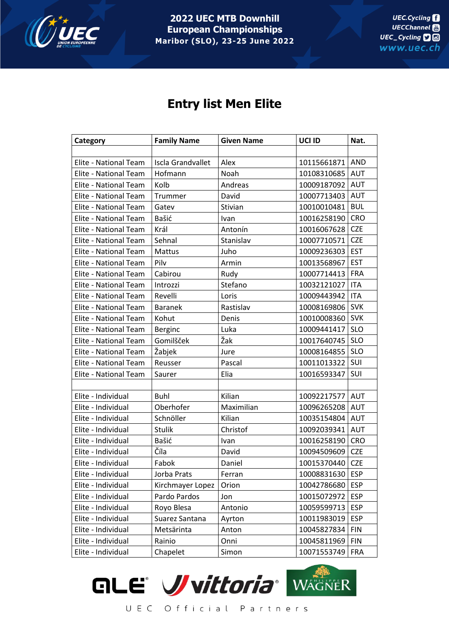

**2022 UEC MTB Downhill European Championships Maribor (SLO), 23-25 June 2022**

## **Entry list Men Elite**

| Category              | <b>Family Name</b>       | <b>Given Name</b> | UCI ID          | Nat.       |
|-----------------------|--------------------------|-------------------|-----------------|------------|
|                       |                          |                   |                 |            |
| Elite - National Team | <b>Iscla Grandvallet</b> | Alex              | 10115661871     | <b>AND</b> |
| Elite - National Team | Hofmann                  | Noah              | 10108310685     | <b>AUT</b> |
| Elite - National Team | Kolb                     | Andreas           | 10009187092     | <b>AUT</b> |
| Elite - National Team | Trummer                  | David             | 10007713403     | AUT        |
| Elite - National Team | Gatev                    | Stivian           | 10010010481     | <b>BUL</b> |
| Elite - National Team | Bašić                    | Ivan              | 10016258190     | <b>CRO</b> |
| Elite - National Team | Král                     | Antonín           | 10016067628     | <b>CZE</b> |
| Elite - National Team | Sehnal                   | Stanislav         | 10007710571     | <b>CZE</b> |
| Elite - National Team | Mattus                   | Juho              | 10009236303     | <b>EST</b> |
| Elite - National Team | Pilv                     | Armin             | 10013568967     | <b>EST</b> |
| Elite - National Team | Cabirou                  | Rudy              | 10007714413     | <b>FRA</b> |
| Elite - National Team | Introzzi                 | Stefano           | 10032121027     | <b>ITA</b> |
| Elite - National Team | Revelli                  | Loris             | 10009443942     | <b>ITA</b> |
| Elite - National Team | <b>Baranek</b>           | Rastislav         | 10008169806     | <b>SVK</b> |
| Elite - National Team | Kohut                    | Denis             | 10010008360     | <b>SVK</b> |
| Elite - National Team | Berginc                  | Luka              | 10009441417     | <b>SLO</b> |
| Elite - National Team | Gomilšček                | Žak               | 10017640745     | <b>SLO</b> |
| Elite - National Team | Žabjek                   | Jure              | 10008164855     | <b>SLO</b> |
| Elite - National Team | Reusser                  | Pascal            | 10011013322     | SUI        |
| Elite - National Team | Saurer                   | Elia              | 10016593347     | SUI        |
|                       |                          |                   |                 |            |
| Elite - Individual    | Buhl                     | Kilian            | 10092217577     | AUT        |
| Elite - Individual    | Oberhofer                | Maximilian        | 10096265208     | <b>AUT</b> |
| Elite - Individual    | Schnöller                | Kilian            | 10035154804     | <b>AUT</b> |
| Elite - Individual    | Stulik                   | Christof          | 10092039341     | AUT        |
| Elite - Individual    | Bašić                    | Ivan              | 10016258190     | <b>CRO</b> |
| Elite - Individual    | Číla                     | David             | 10094509609     | <b>CZE</b> |
| Elite - Individual    | Fabok                    | Daniel            | 10015370440     | <b>CZE</b> |
| Elite - Individual    | Jorba Prats              | Ferran            | 10008831630 ESP |            |
| Elite - Individual    | Kirchmayer Lopez         | Orion             | 10042786680     | <b>ESP</b> |
| Elite - Individual    | Pardo Pardos             | Jon               | 10015072972     | <b>ESP</b> |
| Elite - Individual    | Royo Blesa               | Antonio           | 10059599713     | <b>ESP</b> |
| Elite - Individual    | Suarez Santana           | Ayrton            | 10011983019     | <b>ESP</b> |
| Elite - Individual    | Metsärinta               | Anton             | 10045827834     | <b>FIN</b> |
| Elite - Individual    | Rainio                   | Onni              | 10045811969     | <b>FIN</b> |
| Elite - Individual    | Chapelet                 | Simon             | 10071553749     | <b>FRA</b> |

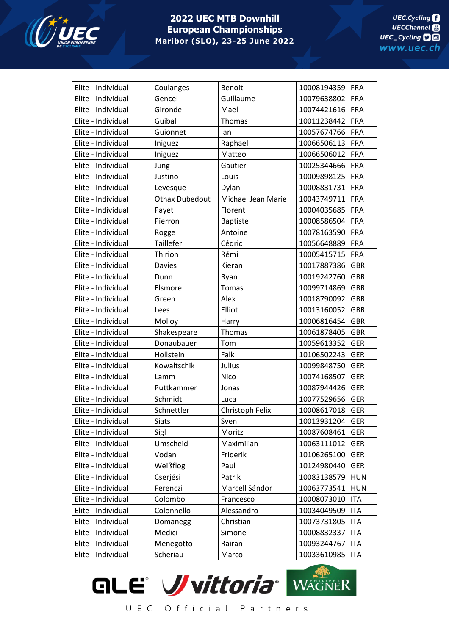

## **2022 UEC MTB Downhill European Championships Maribor (SLO), 23-25 June 2022**

| Elite - Individual | Coulanges             | Benoit             | 10008194359 | FRA        |
|--------------------|-----------------------|--------------------|-------------|------------|
| Elite - Individual | Gencel                | Guillaume          | 10079638802 | <b>FRA</b> |
| Elite - Individual | Gironde               | Mael               | 10074421616 | <b>FRA</b> |
| Elite - Individual | Guibal                | Thomas             | 10011238442 | <b>FRA</b> |
| Elite - Individual | Guionnet              | lan                | 10057674766 | <b>FRA</b> |
| Elite - Individual | Iniguez               | Raphael            | 10066506113 | <b>FRA</b> |
| Elite - Individual | Iniguez               | Matteo             | 10066506012 | <b>FRA</b> |
| Elite - Individual | Jung                  | Gautier            | 10025344666 | <b>FRA</b> |
| Elite - Individual | Justino               | Louis              | 10009898125 | <b>FRA</b> |
| Elite - Individual | Levesque              | Dylan              | 10008831731 | <b>FRA</b> |
| Elite - Individual | <b>Othax Dubedout</b> | Michael Jean Marie | 10043749711 | <b>FRA</b> |
| Elite - Individual | Payet                 | Florent            | 10004035685 | <b>FRA</b> |
| Elite - Individual | Pierron               | <b>Baptiste</b>    | 10008586504 | <b>FRA</b> |
| Elite - Individual | Rogge                 | Antoine            | 10078163590 | <b>FRA</b> |
| Elite - Individual | Taillefer             | Cédric             | 10056648889 | <b>FRA</b> |
| Elite - Individual | Thirion               | Rémi               | 10005415715 | <b>FRA</b> |
| Elite - Individual | Davies                | Kieran             | 10017887386 | <b>GBR</b> |
| Elite - Individual | Dunn                  | Ryan               | 10019242760 | <b>GBR</b> |
| Elite - Individual | Elsmore               | Tomas              | 10099714869 | <b>GBR</b> |
| Elite - Individual | Green                 | Alex               | 10018790092 | <b>GBR</b> |
| Elite - Individual | Lees                  | Elliot             | 10013160052 | <b>GBR</b> |
| Elite - Individual | Molloy                | Harry              | 10006816454 | <b>GBR</b> |
| Elite - Individual | Shakespeare           | Thomas             | 10061878405 | <b>GBR</b> |
| Elite - Individual | Donaubauer            | Tom                | 10059613352 | <b>GER</b> |
| Elite - Individual | Hollstein             | Falk               | 10106502243 | <b>GER</b> |
| Elite - Individual | Kowaltschik           | Julius             | 10099848750 | <b>GER</b> |
| Elite - Individual | Lamm                  | <b>Nico</b>        | 10074168507 | <b>GER</b> |
| Elite - Individual | Puttkammer            | Jonas              | 10087944426 | <b>GER</b> |
| Elite - Individual | Schmidt               | Luca               | 10077529656 | <b>GER</b> |
| Elite - Individual | Schnettler            | Christoph Felix    | 10008617018 | <b>GER</b> |
| Elite - Individual | <b>Siats</b>          | Sven               | 10013931204 | <b>GER</b> |
| Elite - Individual | Sigl                  | Moritz             | 10087608461 | <b>GER</b> |
| Elite - Individual | Umscheid              | Maximilian         | 10063111012 | <b>GER</b> |
| Elite - Individual | Vodan                 | Friderik           | 10106265100 | <b>GER</b> |
| Elite - Individual | Weißflog              | Paul               | 10124980440 | <b>GER</b> |
| Elite - Individual | Cserjési              | Patrik             | 10083138579 | <b>HUN</b> |
| Elite - Individual | Ferenczi              | Marcell Sándor     | 10063773541 | <b>HUN</b> |
| Elite - Individual | Colombo               | Francesco          | 10008073010 | <b>ITA</b> |
| Elite - Individual | Colonnello            | Alessandro         | 10034049509 | <b>ITA</b> |
| Elite - Individual | Domanegg              | Christian          | 10073731805 | <b>ITA</b> |
| Elite - Individual | Medici                | Simone             | 10008832337 | <b>ITA</b> |
| Elite - Individual | Menegotto             | Rairan             | 10093244767 | <b>ITA</b> |
| Elite - Individual | Scheriau              | Marco              | 10033610985 | <b>ITA</b> |